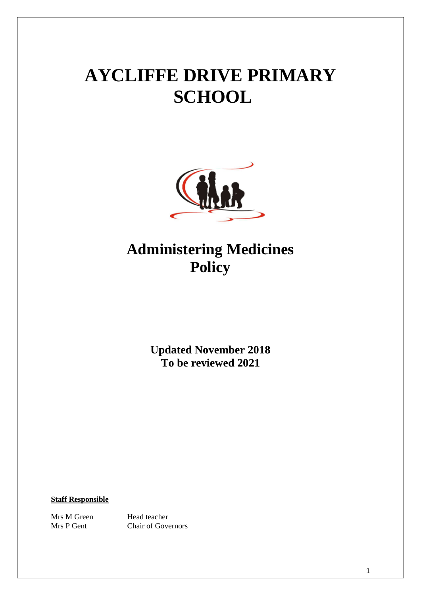# **AYCLIFFE DRIVE PRIMARY SCHOOL**



# **Administering Medicines Policy**

**Updated November 2018 To be reviewed 2021**

**Staff Responsible**

Mrs M Green Head teacher

Mrs P Gent Chair of Governors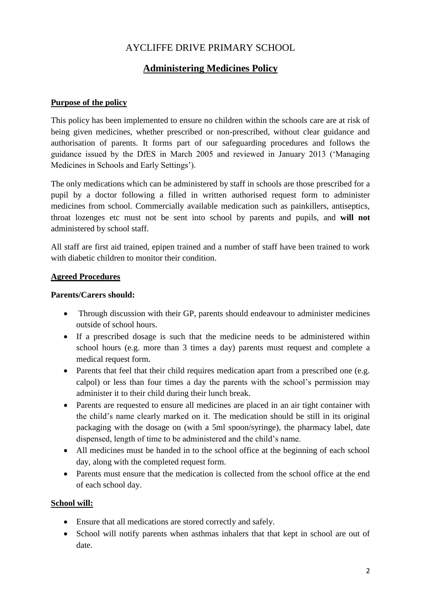## AYCLIFFE DRIVE PRIMARY SCHOOL

## **Administering Medicines Policy**

#### **Purpose of the policy**

This policy has been implemented to ensure no children within the schools care are at risk of being given medicines, whether prescribed or non-prescribed, without clear guidance and authorisation of parents. It forms part of our safeguarding procedures and follows the guidance issued by the DfES in March 2005 and reviewed in January 2013 ('Managing Medicines in Schools and Early Settings').

The only medications which can be administered by staff in schools are those prescribed for a pupil by a doctor following a filled in written authorised request form to administer medicines from school. Commercially available medication such as painkillers, antiseptics, throat lozenges etc must not be sent into school by parents and pupils, and **will not** administered by school staff.

All staff are first aid trained, epipen trained and a number of staff have been trained to work with diabetic children to monitor their condition.

#### **Agreed Procedures**

#### **Parents/Carers should:**

- Through discussion with their GP, parents should endeavour to administer medicines outside of school hours.
- If a prescribed dosage is such that the medicine needs to be administered within school hours (e.g. more than 3 times a day) parents must request and complete a medical request form.
- Parents that feel that their child requires medication apart from a prescribed one (e.g. calpol) or less than four times a day the parents with the school's permission may administer it to their child during their lunch break.
- Parents are requested to ensure all medicines are placed in an air tight container with the child's name clearly marked on it. The medication should be still in its original packaging with the dosage on (with a 5ml spoon/syringe), the pharmacy label, date dispensed, length of time to be administered and the child's name.
- All medicines must be handed in to the school office at the beginning of each school day, along with the completed request form.
- Parents must ensure that the medication is collected from the school office at the end of each school day.

#### **School will:**

- Ensure that all medications are stored correctly and safely.
- School will notify parents when asthmas inhalers that that kept in school are out of date.